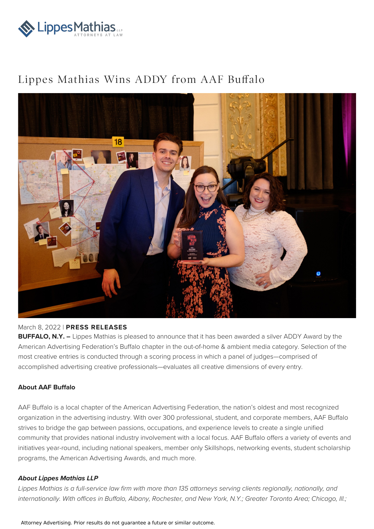

## Lippes Mathias Wins ADDY from AAF Buffalo



## March 8, 2022 | **PRESS RELEASES**

**BUFFALO, N.Y. –** Lippes Mathias is pleased to announce that it has been awarded a silver ADDY Award by the American Advertising Federation's Buffalo chapter in the out-of-home & ambient media category. Selection of the most creative entries is conducted through a scoring process in which a panel of judges—comprised of accomplished advertising creative professionals—evaluates all creative dimensions of every entry.

## **About AAF Buffalo**

AAF Buffalo is a local chapter of the American Advertising Federation, the nation's oldest and most recognized organization in the advertising industry. With over 300 professional, student, and corporate members, AAF Buffalo strives to bridge the gap between passions, occupations, and experience levels to create a single unified community that provides national industry involvement with a local focus. AAF Buffalo offers a variety of events and initiatives year-round, including national speakers, member only Skillshops, networking events, student scholarship programs, the American Advertising Awards, and much more.

## **About Lippes Mathias LLP**

Lippes Mathias is a full-service law firm with more than 135 attorneys serving clients regionally, nationally, and internationally. With offices in Buffalo, Albany, Rochester, and New York, N.Y.; Greater Toronto Area; Chicago, Ill.;

Attorney Advertising. Prior results do not guarantee a future or similar outcome.